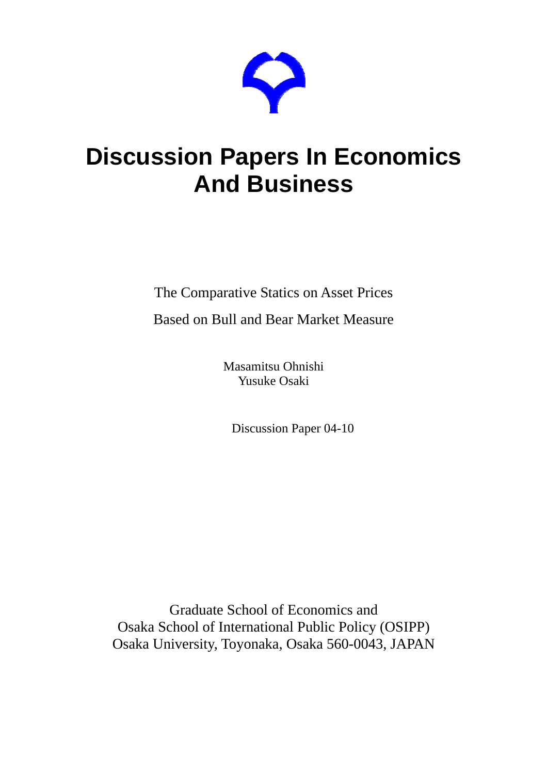

# **Discussion Papers In Economics And Business**

The Comparative Statics on Asset Prices

Based on Bull and Bear Market Measure

Masamitsu Ohnishi Yusuke Osaki

Discussion Paper 04-10

Graduate School of Economics and Osaka School of International Public Policy (OSIPP) Osaka University, Toyonaka, Osaka 560-0043, JAPAN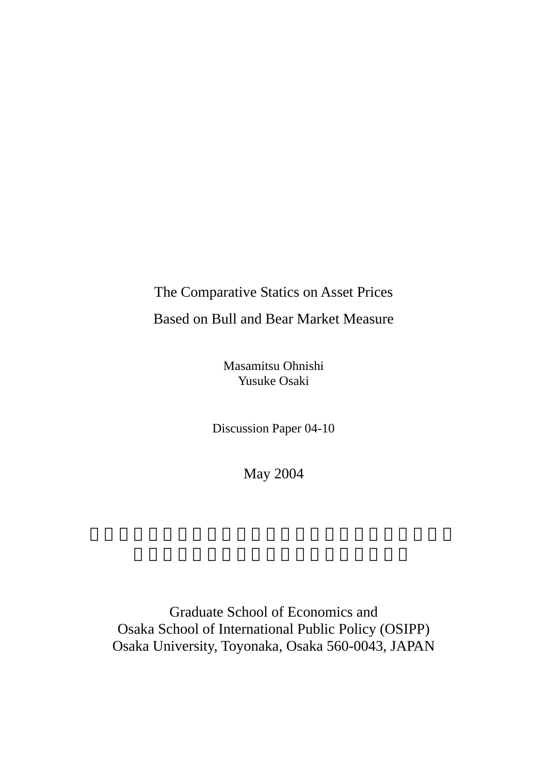# The Comparative Statics on Asset Prices Based on Bull and Bear Market Measure

Masamitsu Ohnishi Yusuke Osaki

Discussion Paper 04-10

May 2004

Graduate School of Economics and Osaka School of International Public Policy (OSIPP) Osaka University, Toyonaka, Osaka 560-0043, JAPAN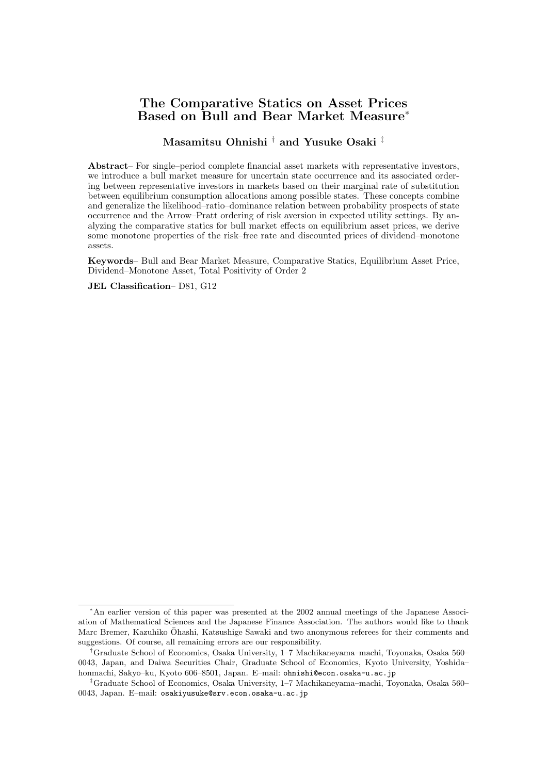# The Comparative Statics on Asset Prices Based on Bull and Bear Market Measure<sup>∗</sup>

#### Masamitsu Ohnishi † and Yusuke Osaki ‡

Abstract– For single–period complete financial asset markets with representative investors, we introduce a bull market measure for uncertain state occurrence and its associated ordering between representative investors in markets based on their marginal rate of substitution between equilibrium consumption allocations among possible states. These concepts combine and generalize the likelihood–ratio–dominance relation between probability prospects of state occurrence and the Arrow–Pratt ordering of risk aversion in expected utility settings. By analyzing the comparative statics for bull market effects on equilibrium asset prices, we derive some monotone properties of the risk–free rate and discounted prices of dividend–monotone assets.

Keywords– Bull and Bear Market Measure, Comparative Statics, Equilibrium Asset Price, Dividend–Monotone Asset, Total Positivity of Order 2

JEL Classification– D81, G12

<sup>∗</sup>An earlier version of this paper was presented at the 2002 annual meetings of the Japanese Association of Mathematical Sciences and the Japanese Finance Association. The authors would like to thank Marc Bremer, Kazuhiko Ohashi, Katsushige Sawaki and two anonymous referees for their comments and ¯ suggestions. Of course, all remaining errors are our responsibility.

<sup>†</sup>Graduate School of Economics, Osaka University, 1–7 Machikaneyama–machi, Toyonaka, Osaka 560– 0043, Japan, and Daiwa Securities Chair, Graduate School of Economics, Kyoto University, Yoshida– honmachi, Sakyo–ku, Kyoto 606–8501, Japan. E–mail: ohnishi@econ.osaka-u.ac.jp

<sup>‡</sup>Graduate School of Economics, Osaka University, 1–7 Machikaneyama–machi, Toyonaka, Osaka 560– 0043, Japan. E–mail: osakiyusuke@srv.econ.osaka-u.ac.jp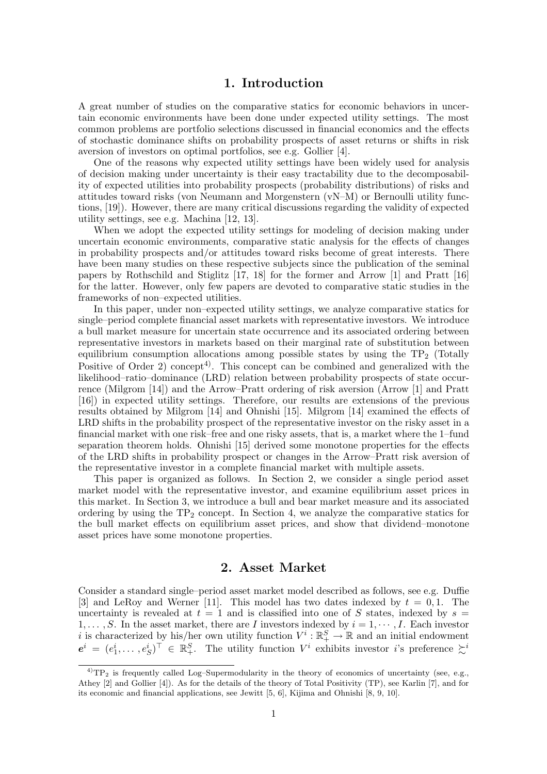# 1. Introduction

A great number of studies on the comparative statics for economic behaviors in uncertain economic environments have been done under expected utility settings. The most common problems are portfolio selections discussed in financial economics and the effects of stochastic dominance shifts on probability prospects of asset returns or shifts in risk aversion of investors on optimal portfolios, see e.g. Gollier [4].

One of the reasons why expected utility settings have been widely used for analysis of decision making under uncertainty is their easy tractability due to the decomposability of expected utilities into probability prospects (probability distributions) of risks and attitudes toward risks (von Neumann and Morgenstern (vN–M) or Bernoulli utility functions, [19]). However, there are many critical discussions regarding the validity of expected utility settings, see e.g. Machina [12, 13].

When we adopt the expected utility settings for modeling of decision making under uncertain economic environments, comparative static analysis for the effects of changes in probability prospects and/or attitudes toward risks become of great interests. There have been many studies on these respective subjects since the publication of the seminal papers by Rothschild and Stiglitz [17, 18] for the former and Arrow [1] and Pratt [16] for the latter. However, only few papers are devoted to comparative static studies in the frameworks of non–expected utilities.

In this paper, under non–expected utility settings, we analyze comparative statics for single–period complete financial asset markets with representative investors. We introduce a bull market measure for uncertain state occurrence and its associated ordering between representative investors in markets based on their marginal rate of substitution between equilibrium consumption allocations among possible states by using the  $TP_2$  (Totally Positive of Order 2) concept<sup>4)</sup>. This concept can be combined and generalized with the likelihood–ratio–dominance (LRD) relation between probability prospects of state occurrence (Milgrom [14]) and the Arrow–Pratt ordering of risk aversion (Arrow [1] and Pratt [16]) in expected utility settings. Therefore, our results are extensions of the previous results obtained by Milgrom [14] and Ohnishi [15]. Milgrom [14] examined the effects of LRD shifts in the probability prospect of the representative investor on the risky asset in a financial market with one risk–free and one risky assets, that is, a market where the 1–fund separation theorem holds. Ohnishi [15] derived some monotone properties for the effects of the LRD shifts in probability prospect or changes in the Arrow–Pratt risk aversion of the representative investor in a complete financial market with multiple assets.

This paper is organized as follows. In Section 2, we consider a single period asset market model with the representative investor, and examine equilibrium asset prices in this market. In Section 3, we introduce a bull and bear market measure and its associated ordering by using the  $TP_2$  concept. In Section 4, we analyze the comparative statics for the bull market effects on equilibrium asset prices, and show that dividend–monotone asset prices have some monotone properties.

# 2. Asset Market

Consider a standard single–period asset market model described as follows, see e.g. Duffie [3] and LeRoy and Werner [11]. This model has two dates indexed by  $t = 0, 1$ . The uncertainty is revealed at  $t = 1$  and is classified into one of S states, indexed by  $s =$  $1, \ldots, S$ . In the asset market, there are *I* investors indexed by  $i = 1, \cdots, I$ . Each investor i is characterized by his/her own utility function  $V^i : \mathbb{R}^S_+ \to \mathbb{R}$  and an initial endowment  $e^i = (e_1^i, \ldots, e_S^i)^\top \in \mathbb{R}_+^S$ . The utility function  $V^i$  exhibits investor *i*'s preference  $\succsim^i$ 

 $^{4)}TP_2$  is frequently called Log–Supermodularity in the theory of economics of uncertainty (see, e.g., Athey [2] and Gollier [4]). As for the details of the theory of Total Positivity (TP), see Karlin [7], and for its economic and financial applications, see Jewitt [5, 6], Kijima and Ohnishi [8, 9, 10].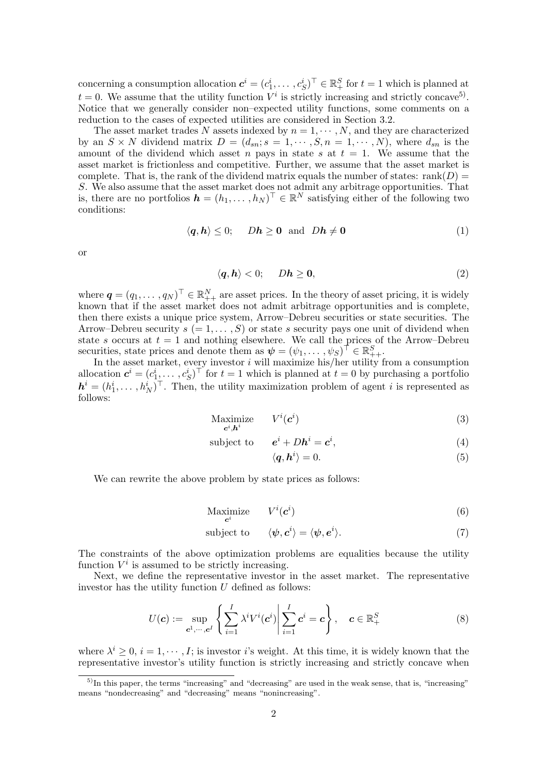concerning a consumption allocation  $c^i = (c_1^i, \ldots, c_S^i)^\top \in \mathbb{R}_+^S$  for  $t = 1$  which is planned at  $t = 0$ . We assume that the utility function  $V^i$  is strictly increasing and strictly concave<sup>5</sup>). Notice that we generally consider non–expected utility functions, some comments on a reduction to the cases of expected utilities are considered in Section 3.2.

The asset market trades N assets indexed by  $n = 1, \cdots, N$ , and they are characterized by an  $S \times N$  dividend matrix  $D = (d_{sn}; s = 1, \dots, S, n = 1, \dots, N)$ , where  $d_{sn}$  is the amount of the dividend which asset n pays in state s at  $t = 1$ . We assume that the asset market is frictionless and competitive. Further, we assume that the asset market is complete. That is, the rank of the dividend matrix equals the number of states: rank( $D$ ) = S. We also assume that the asset market does not admit any arbitrage opportunities. That is, there are no portfolios  $\mathbf{h} = (h_1, \dots, h_N)^\top \in \mathbb{R}^N$  satisfying either of the following two conditions:

$$
\langle q, h \rangle \le 0; \quad Dh \ge 0 \text{ and } Dh \ne 0 \tag{1}
$$

or

$$
\langle q, h \rangle < 0; \quad Dh \geq 0,\tag{2}
$$

where  $\boldsymbol{q} = (q_1, \dots, q_N)^\top \in \mathbb{R}_{++}^N$  are asset prices. In the theory of asset pricing, it is widely known that if the asset market does not admit arbitrage opportunities and is complete, then there exists a unique price system, Arrow–Debreu securities or state securities. The Arrow–Debreu security  $s (= 1, \ldots, S)$  or state s security pays one unit of dividend when state s occurs at  $t = 1$  and nothing elsewhere. We call the prices of the Arrow–Debreu securities, state prices and denote them as  $\psi = (\psi_1, \dots, \psi_S)^\top \in \mathbb{R}^S_{++}$ .

In the asset market, every investor  $i$  will maximize his/her utility from a consumption allocation  $c^i = (c_1^i, \ldots, c_S^i)^\top$  for  $t = 1$  which is planned at  $t = 0$  by purchasing a portfolio  $\mathbf{h}^i = (h_1^i, \dots, h_N^i)^\top$ . Then, the utility maximization problem of agent i is represented as follows:

$$
\begin{array}{ll}\n\text{Maximize} & V^i(\mathbf{c}^i) \\
\mathbf{c}^i \cdot \mathbf{h}^i\n\end{array} \tag{3}
$$

subject to  $e^{i} + Dh^{i} = c^{i}$  $,$  (4)

$$
\langle \bm{q}, \bm{h}^i \rangle = 0. \tag{5}
$$

We can rewrite the above problem by state prices as follows:

$$
\underset{\mathbf{c}^i}{\text{Maximize}} \qquad V^i(\mathbf{c}^i) \tag{6}
$$

subject to 
$$
\langle \psi, c^i \rangle = \langle \psi, e^i \rangle. \tag{7}
$$

The constraints of the above optimization problems are equalities because the utility function  $V^i$  is assumed to be strictly increasing.

Next, we define the representative investor in the asset market. The representative investor has the utility function  $U$  defined as follows:

$$
U(\mathbf{c}) := \sup_{\mathbf{c}^1,\cdots,\mathbf{c}^I} \left\{ \sum_{i=1}^I \lambda^i V^i(\mathbf{c}^i) \middle| \sum_{i=1}^I \mathbf{c}^i = \mathbf{c} \right\}, \quad \mathbf{c} \in \mathbb{R}_+^S
$$
 (8)

where  $\lambda^i \geq 0$ ,  $i = 1, \dots, I$ ; is investor is weight. At this time, it is widely known that the representative investor's utility function is strictly increasing and strictly concave when

 $^{5)}$ In this paper, the terms "increasing" and "decreasing" are used in the weak sense, that is, "increasing" means "nondecreasing" and "decreasing" means "nonincreasing".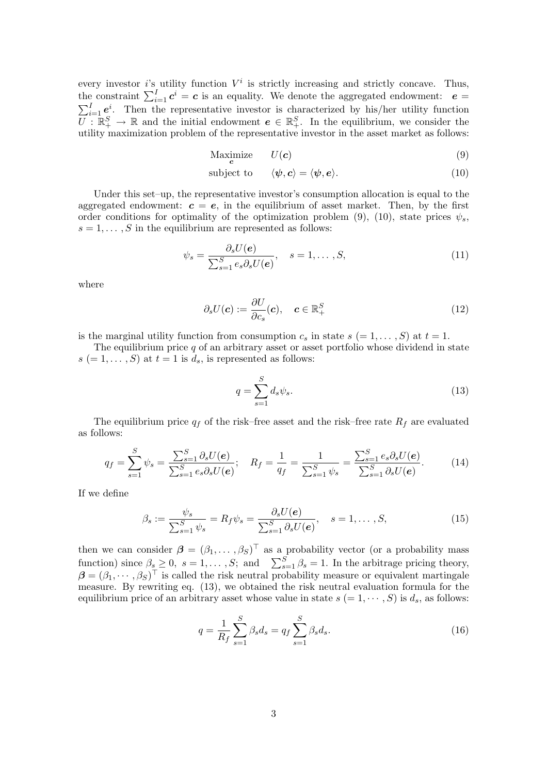every investor i's utility function  $V^i$  is strictly increasing and strictly concave. Thus, the constraint  $\sum_{i=1}^{I} c^{i} = c$  is an equality. We denote the aggregated endowment:  $e =$ <br> $\sum_{i=1}^{I} c^{i} = c$  is an equality. We denote the aggregated endowment:  $e =$  $\sum_{i=1}^{I} e^{i}$ . Then the representative investor is characterized by his/her utility function  $\overline{U}$ :  $\mathbb{R}^S_+ \to \mathbb{R}$  and the initial endowment  $e \in \mathbb{R}^S_+$ . In the equilibrium, we consider the utility maximization problem of the representative investor in the asset market as follows:

$$
\underset{\mathbf{c}}{\text{Maximize}} \qquad U(\mathbf{c}) \tag{9}
$$

subject to  $\langle \psi, c \rangle = \langle \psi, e \rangle.$  (10)

Under this set–up, the representative investor's consumption allocation is equal to the aggregated endowment:  $c = e$ , in the equilibrium of asset market. Then, by the first order conditions for optimality of the optimization problem (9), (10), state prices  $\psi_s$ ,  $s = 1, \ldots, S$  in the equilibrium are represented as follows:

$$
\psi_s = \frac{\partial_s U(\boldsymbol{e})}{\sum_{s=1}^S e_s \partial_s U(\boldsymbol{e})}, \quad s = 1, \dots, S,
$$
\n(11)

where

$$
\partial_s U(\mathbf{c}) := \frac{\partial U}{\partial c_s}(\mathbf{c}), \quad \mathbf{c} \in \mathbb{R}_+^S \tag{12}
$$

is the marginal utility function from consumption  $c_s$  in state  $s (= 1, \ldots, S)$  at  $t = 1$ .

The equilibrium price  $q$  of an arbitrary asset or asset portfolio whose dividend in state  $s (= 1, \ldots, S)$  at  $t = 1$  is  $d_s$ , is represented as follows:

$$
q = \sum_{s=1}^{S} d_s \psi_s.
$$
\n(13)

The equilibrium price  $q_f$  of the risk–free asset and the risk–free rate  $R_f$  are evaluated as follows:

$$
q_f = \sum_{s=1}^{S} \psi_s = \frac{\sum_{s=1}^{S} \partial_s U(e)}{\sum_{s=1}^{S} e_s \partial_s U(e)}; \quad R_f = \frac{1}{q_f} = \frac{1}{\sum_{s=1}^{S} \psi_s} = \frac{\sum_{s=1}^{S} e_s \partial_s U(e)}{\sum_{s=1}^{S} \partial_s U(e)}.
$$
(14)

If we define

$$
\beta_s := \frac{\psi_s}{\sum_{s=1}^S \psi_s} = R_f \psi_s = \frac{\partial_s U(e)}{\sum_{s=1}^S \partial_s U(e)}, \quad s = 1, \dots, S,
$$
\n(15)

then we can consider  $\boldsymbol{\beta} = (\beta_1, \dots, \beta_S)^\top$  as a probability vector (or a probability mass function) since  $\beta_s \geq 0$ ,  $s = 1, \dots, S$ ; and  $\sum_{s=1}^S \beta_s = 1$ . In the arbitrage pricing theory,  $\boldsymbol{\beta} = (\beta_1, \cdots, \beta_S)^{\top}$  is called the risk neutral probability measure or equivalent martingale measure. By rewriting eq. (13), we obtained the risk neutral evaluation formula for the equilibrium price of an arbitrary asset whose value in state  $s (= 1, \dots, S)$  is  $d_s$ , as follows:

$$
q = \frac{1}{R_f} \sum_{s=1}^{S} \beta_s d_s = q_f \sum_{s=1}^{S} \beta_s d_s.
$$
 (16)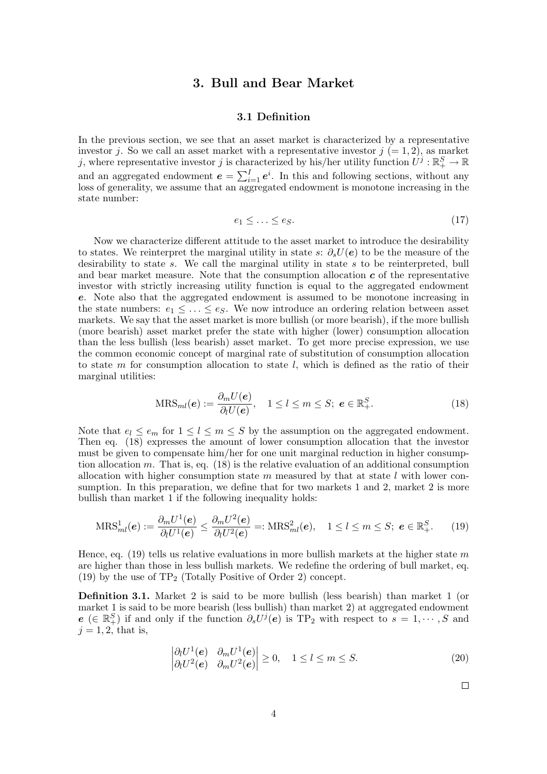# 3. Bull and Bear Market

#### 3.1 Definition

In the previous section, we see that an asset market is characterized by a representative investor j. So we call an asset market with a representative investor  $j (= 1, 2)$ , as market j, where representative investor j is characterized by his/her utility function  $\hat{U}^j : \mathbb{R}^S_+ \to \mathbb{R}$ and an aggregated endowment  $e = \sum_{i=1}^{N}$  $_{i=1}^{I}e^{i}$ . In this and following sections, without any  $\log$  loss of generality, we assume that an aggregated endowment is monotone increasing in the state number:

$$
e_1 \le \ldots \le e_S. \tag{17}
$$

Now we characterize different attitude to the asset market to introduce the desirability to states. We reinterpret the marginal utility in state s:  $\partial_s U(\mathbf{e})$  to be the measure of the desirability to state s. We call the marginal utility in state s to be reinterpreted, bull and bear market measure. Note that the consumption allocation  $c$  of the representative investor with strictly increasing utility function is equal to the aggregated endowment e. Note also that the aggregated endowment is assumed to be monotone increasing in the state numbers:  $e_1 \leq \ldots \leq e_s$ . We now introduce an ordering relation between asset markets. We say that the asset market is more bullish (or more bearish), if the more bullish (more bearish) asset market prefer the state with higher (lower) consumption allocation than the less bullish (less bearish) asset market. To get more precise expression, we use the common economic concept of marginal rate of substitution of consumption allocation to state m for consumption allocation to state  $l$ , which is defined as the ratio of their marginal utilities:

$$
\text{MRS}_{ml}(e) := \frac{\partial_m U(e)}{\partial_l U(e)}, \quad 1 \le l \le m \le S; \ e \in \mathbb{R}_+^S. \tag{18}
$$

Note that  $e_l \le e_m$  for  $1 \le l \le m \le S$  by the assumption on the aggregated endowment. Then eq. (18) expresses the amount of lower consumption allocation that the investor must be given to compensate him/her for one unit marginal reduction in higher consumption allocation m. That is, eq.  $(18)$  is the relative evaluation of an additional consumption allocation with higher consumption state  $m$  measured by that at state  $l$  with lower consumption. In this preparation, we define that for two markets 1 and 2, market 2 is more bullish than market 1 if the following inequality holds:

$$
\mathrm{MRS}_{ml}^1(\boldsymbol{e}) := \frac{\partial_m U^1(\boldsymbol{e})}{\partial_l U^1(\boldsymbol{e})} \le \frac{\partial_m U^2(\boldsymbol{e})}{\partial_l U^2(\boldsymbol{e})} =: \mathrm{MRS}_{ml}^2(\boldsymbol{e}), \quad 1 \le l \le m \le S; \ \boldsymbol{e} \in \mathbb{R}_+^S. \tag{19}
$$

Hence, eq. (19) tells us relative evaluations in more bullish markets at the higher state m are higher than those in less bullish markets. We redefine the ordering of bull market, eq. (19) by the use of  $TP_2$  (Totally Positive of Order 2) concept.

Definition 3.1. Market 2 is said to be more bullish (less bearish) than market 1 (or market 1 is said to be more bearish (less bullish) than market 2) at aggregated endowment  $e \in \mathbb{R}_{+}^{S}$  if and only if the function  $\partial_{s}U^{j}(e)$  is TP<sub>2</sub> with respect to  $s = 1, \cdots, S$  and  $j = 1, 2$ , that is,

$$
\begin{vmatrix} \partial_l U^1(e) & \partial_m U^1(e) \\ \partial_l U^2(e) & \partial_m U^2(e) \end{vmatrix} \ge 0, \quad 1 \le l \le m \le S.
$$
\n(20)

 $\Box$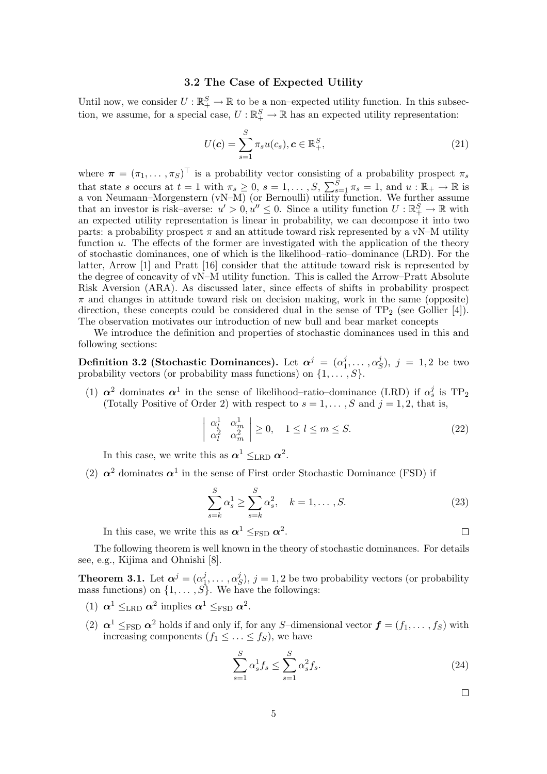#### 3.2 The Case of Expected Utility

Until now, we consider  $U:\mathbb{R}^S_+\to\mathbb{R}$  to be a non-expected utility function. In this subsection, we assume, for a special case,  $U : \mathbb{R}^S_+ \to \mathbb{R}$  has an expected utility representation:

$$
U(\mathbf{c}) = \sum_{s=1}^{S} \pi_s u(c_s), \mathbf{c} \in \mathbb{R}^S_+, \tag{21}
$$

where  $\boldsymbol{\pi} = (\pi_1, \dots, \pi_S)^\top$  is a probability vector consisting of a probability prospect  $\pi_s$ that state s occurs at  $t = 1$  with  $\pi_s \geq 0$ ,  $s = 1, \ldots, S$ ,  $\sum_{s}^{S}$  $s_{s=1}^S \pi_s = 1$ , and  $u : \mathbb{R}_+ \to \mathbb{R}$  is a von Neumann–Morgenstern (vN–M) (or Bernoulli) utility function. We further assume that an investor is risk–averse:  $u' > 0, u'' \leq 0$ . Since a utility function  $U : \mathbb{R}^S_+ \to \mathbb{R}$  with an expected utility representation is linear in probability, we can decompose it into two parts: a probability prospect  $\pi$  and an attitude toward risk represented by a vN–M utility function  $u$ . The effects of the former are investigated with the application of the theory of stochastic dominances, one of which is the likelihood–ratio–dominance (LRD). For the latter, Arrow [1] and Pratt [16] consider that the attitude toward risk is represented by the degree of concavity of vN–M utility function. This is called the Arrow–Pratt Absolute Risk Aversion (ARA). As discussed later, since effects of shifts in probability prospect  $\pi$  and changes in attitude toward risk on decision making, work in the same (opposite) direction, these concepts could be considered dual in the sense of  $TP_2$  (see Gollier [4]). The observation motivates our introduction of new bull and bear market concepts

We introduce the definition and properties of stochastic dominances used in this and following sections:

Definition 3.2 (Stochastic Dominances). Let  $\alpha^j = (\alpha_1^j)$  $i_1^j, \ldots, \alpha_{\xi}^j$  $S^{j}$ ,  $j = 1, 2$  be two probability vectors (or probability mass functions) on  $\{1, \ldots, S\}$ .

(1)  $\alpha^2$  dominates  $\alpha^1$  in the sense of likelihood–ratio–dominance (LRD) if  $\alpha_s^j$  is TP<sub>2</sub> (Totally Positive of Order 2) with respect to  $s = 1, \ldots, S$  and  $j = 1, 2$ , that is,

$$
\begin{vmatrix} \alpha_l^1 & \alpha_m^1 \\ \alpha_l^2 & \alpha_m^2 \end{vmatrix} \ge 0, \quad 1 \le l \le m \le S.
$$
 (22)

In this case, we write this as  $\alpha^1 \leq_{\text{LRD}} \alpha^2$ .

(2)  $\alpha^2$  dominates  $\alpha^1$  in the sense of First order Stochastic Dominance (FSD) if

$$
\sum_{s=k}^{S} \alpha_s^1 \ge \sum_{s=k}^{S} \alpha_s^2, \quad k = 1, \dots, S. \tag{23}
$$

In this case, we write this as  $\alpha^1 \leq_{\text{FSD}} \alpha^2$ .

The following theorem is well known in the theory of stochastic dominances. For details see, e.g., Kijima and Ohnishi [8].

**Theorem 3.1.** Let  $\boldsymbol{\alpha}^{j} = (\alpha_1^{j})$  $i_1^j,\ldots,\alpha_S^j$  $(S<sup>j</sup>), j = 1, 2$  be two probability vectors (or probability mass functions) on  $\{1, \ldots, S\}$ . We have the followings:

- (1)  $\alpha^1 \leq_{\text{LRD}} \alpha^2$  implies  $\alpha^1 \leq_{\text{FSD}} \alpha^2$ .
- (2)  $\alpha^1 \leq_{\text{FSD}} \alpha^2$  holds if and only if, for any S-dimensional vector  $\boldsymbol{f} = (f_1, \dots, f_S)$  with increasing components  $(f_1 \leq \ldots \leq f_s)$ , we have

$$
\sum_{s=1}^{S} \alpha_s^1 f_s \le \sum_{s=1}^{S} \alpha_s^2 f_s. \tag{24}
$$

 $\Box$ 

 $\Box$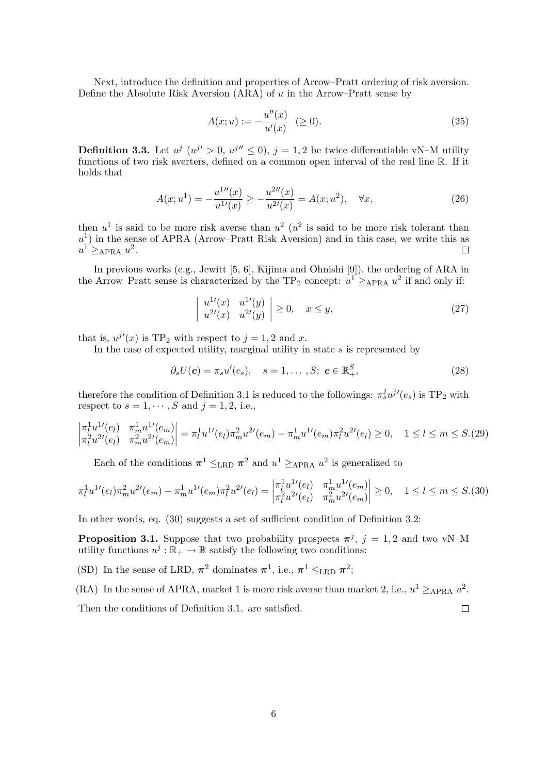Next, introduce the definition and properties of Arrow–Pratt ordering of risk aversion. Define the Absolute Risk Aversion  $(ARA)$  of u in the Arrow–Pratt sense by

$$
A(x;u) := -\frac{u''(x)}{u'(x)} \quad (\ge 0). \tag{25}
$$

**Definition 3.3.** Let  $u^j$   $(u^{j'} > 0, u^{j''} \leq 0), j = 1, 2$  be twice differentiable vN–M utility functions of two risk averters, defined on a common open interval of the real line R. If it holds that

$$
A(x;u^{1}) = -\frac{u^{1}''(x)}{u^{1}(x)} \ge -\frac{u^{2}''(x)}{u^{2}(x)} = A(x;u^{2}), \quad \forall x,
$$
\n(26)

then  $u^1$  is said to be more risk averse than  $u^2$  ( $u^2$  is said to be more risk tolerant than  $u<sup>1</sup>$ ) in the sense of APRA (Arrow–Pratt Risk Aversion) and in this case, we write this as  $u^1 \geq_{APRA} u^2$ .  $\Box$ 

In previous works (e.g., Jewitt [5, 6], Kijima and Ohnishi [9]), the ordering of ARA in the Arrow–Pratt sense is characterized by the TP<sub>2</sub> concept:  $u^1 \geq_{APRA} u^2$  if and only if:

$$
\left| \begin{array}{ll} u^{1\prime}(x) & u^{1\prime}(y) \\ u^{2\prime}(x) & u^{2\prime}(y) \end{array} \right| \ge 0, \quad x \le y,\tag{27}
$$

that is,  $u^{j'}(x)$  is TP<sub>2</sub> with respect to  $j = 1, 2$  and x.

In the case of expected utility, marginal utility in state  $s$  is represented by

$$
\partial_s U(\mathbf{c}) = \pi_s u'(c_s), \quad s = 1, \dots, S; \ \mathbf{c} \in \mathbb{R}_+^S,
$$
\n
$$
(28)
$$

therefore the condition of Definition 3.1 is reduced to the followings:  $\pi_s^j u^{j'}(e_s)$  is TP<sub>2</sub> with respect to  $s = 1, \dots, S$  and  $j = 1, 2$ , i.e.,

$$
\left|\begin{array}{ll}\n\pi_l^1 u^{1\prime}(e_l) & \pi_m^1 u^{1\prime}(e_m) \\
\pi_l^2 u^{2\prime}(e_l) & \pi_m^2 u^{2\prime}(e_m)\n\end{array}\right| = \pi_l^1 u^{1\prime}(e_l) \pi_m^2 u^{2\prime}(e_m) - \pi_m^1 u^{1\prime}(e_m) \pi_l^2 u^{2\prime}(e_l) \ge 0, \quad 1 \le l \le m \le S. \tag{29}
$$

Each of the conditions  $\pi^1 \leq_{\text{LRD}} \pi^2$  and  $u^1 \geq_{\text{APRA}} u^2$  is generalized to

$$
\pi_l^1 u^{1\prime}(e_l) \pi_m^2 u^{2\prime}(e_m) - \pi_m^1 u^{1\prime}(e_m) \pi_l^2 u^{2\prime}(e_l) = \begin{vmatrix} \pi_l^1 u^{1\prime}(e_l) & \pi_m^1 u^{1\prime}(e_m) \\ \pi_l^2 u^{2\prime}(e_l) & \pi_m^2 u^{2\prime}(e_m) \end{vmatrix} \ge 0, \quad 1 \le l \le m \le S.
$$
 (30)

In other words, eq.  $(30)$  suggests a set of sufficient condition of Definition 3.2:

**Proposition 3.1.** Suppose that two probability prospects  $\pi^{j}$ ,  $j = 1, 2$  and two vN–M utility functions  $u^j : \mathbb{R}_+ \to \mathbb{R}$  satisfy the following two conditions:

(SD) In the sense of LRD,  $\pi^2$  dominates  $\pi^1$ , i.e.,  $\pi^1 \leq_{\text{LRD}} \pi^2$ ;

(RA) In the sense of APRA, market 1 is more risk averse than market 2, i.e.,  $u^1 \geq_{APRA} u^2$ . Then the conditions of Definition 3.1. are satisfied.  $\Box$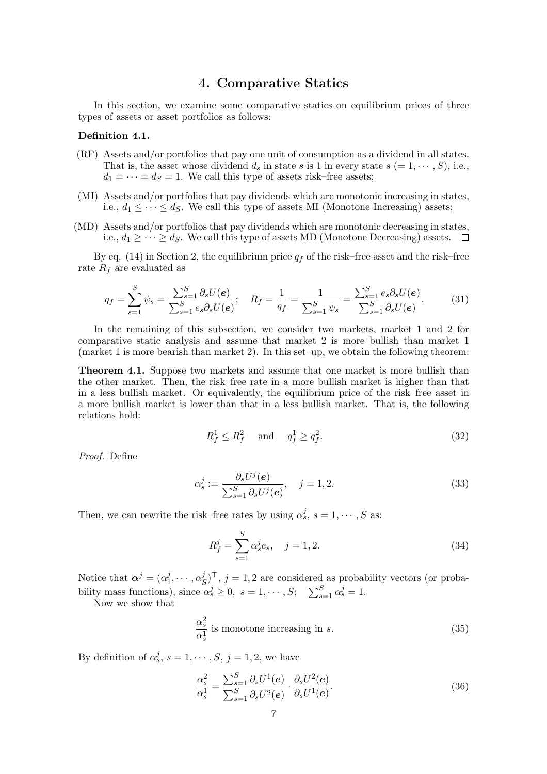# 4. Comparative Statics

In this section, we examine some comparative statics on equilibrium prices of three types of assets or asset portfolios as follows:

#### Definition 4.1.

- (RF) Assets and/or portfolios that pay one unit of consumption as a dividend in all states. That is, the asset whose dividend  $d_s$  in state s is 1 in every state  $s (= 1, \dots, S)$ , i.e.,  $d_1 = \cdots = d_s = 1$ . We call this type of assets risk–free assets;
- (MI) Assets and/or portfolios that pay dividends which are monotonic increasing in states, i.e.,  $d_1 \leq \cdots \leq d_S$ . We call this type of assets MI (Monotone Increasing) assets;
- (MD) Assets and/or portfolios that pay dividends which are monotonic decreasing in states, i.e.,  $d_1$  ≥ · · · ≥  $d_S$ . We call this type of assets MD (Monotone Decreasing) assets.  $\Box$

By eq. (14) in Section 2, the equilibrium price  $q_f$  of the risk–free asset and the risk–free rate  $R_f$  are evaluated as

$$
q_f = \sum_{s=1}^{S} \psi_s = \frac{\sum_{s=1}^{S} \partial_s U(e)}{\sum_{s=1}^{S} e_s \partial_s U(e)}; \quad R_f = \frac{1}{q_f} = \frac{1}{\sum_{s=1}^{S} \psi_s} = \frac{\sum_{s=1}^{S} e_s \partial_s U(e)}{\sum_{s=1}^{S} \partial_s U(e)}.
$$
(31)

In the remaining of this subsection, we consider two markets, market 1 and 2 for comparative static analysis and assume that market 2 is more bullish than market 1 (market 1 is more bearish than market 2). In this set–up, we obtain the following theorem:

Theorem 4.1. Suppose two markets and assume that one market is more bullish than the other market. Then, the risk–free rate in a more bullish market is higher than that in a less bullish market. Or equivalently, the equilibrium price of the risk–free asset in a more bullish market is lower than that in a less bullish market. That is, the following relations hold:

$$
R_f^1 \le R_f^2 \quad \text{ and } \quad q_f^1 \ge q_f^2. \tag{32}
$$

Proof. Define

$$
\alpha_s^j := \frac{\partial_s U^j(\mathbf{e})}{\sum_{s=1}^S \partial_s U^j(\mathbf{e})}, \quad j = 1, 2. \tag{33}
$$

Then, we can rewrite the risk–free rates by using  $\alpha_s^j$ ,  $s = 1, \cdots, S$  as:

$$
R_f^j = \sum_{s=1}^S \alpha_s^j e_s, \quad j = 1, 2. \tag{34}
$$

Notice that  $\boldsymbol{\alpha}^j = (\alpha_1^j)$  $j_1^j,\cdots,\alpha_S^j$  $(S^j)^{\top}, j = 1, 2$  are considered as probability vectors (or probability mass functions), since  $\alpha_s^j \geq 0$ ,  $s = 1, \dots, S;$   $\sum_{s=1}^{S_s}$  $\int_{s=1}^{S} \alpha_s^j = 1.$ 

Now we show that

$$
\frac{\alpha_s^2}{\alpha_s^1}
$$
 is monotone increasing in s. (35)

By definition of  $\alpha_s^j$ ,  $s = 1, \dots, S$ ,  $j = 1, 2$ , we have

$$
\frac{\alpha_s^2}{\alpha_s^1} = \frac{\sum_{s=1}^S \partial_s U^1(\mathbf{e})}{\sum_{s=1}^S \partial_s U^2(\mathbf{e})} \cdot \frac{\partial_s U^2(\mathbf{e})}{\partial_s U^1(\mathbf{e})}.
$$
\n(36)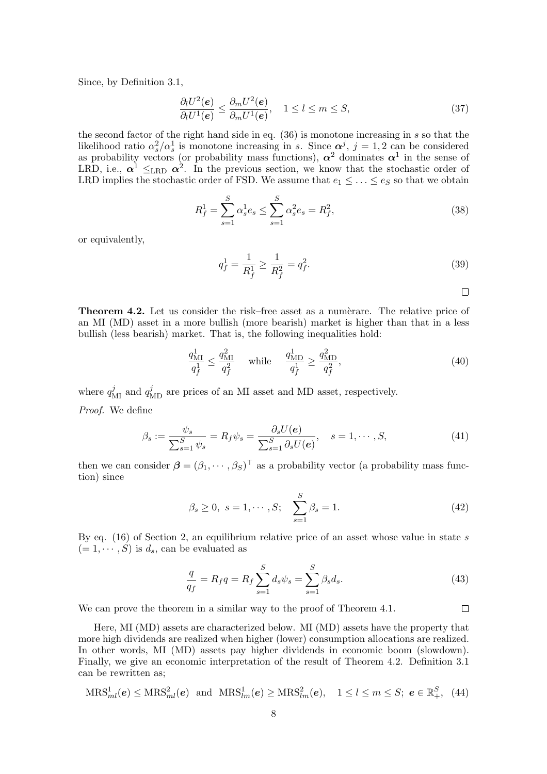Since, by Definition 3.1,

$$
\frac{\partial_l U^2(e)}{\partial_l U^1(e)} \le \frac{\partial_m U^2(e)}{\partial_m U^1(e)}, \quad 1 \le l \le m \le S,
$$
\n(37)

the second factor of the right hand side in eq. (36) is monotone increasing in s so that the likelihood ratio  $\alpha_s^2/\alpha_s^1$  is monotone increasing in s. Since  $\alpha^j$ ,  $j=1,2$  can be considered as probability vectors (or probability mass functions),  $\alpha^2$  dominates  $\alpha^1$  in the sense of LRD, i.e.,  $\alpha^1 \leq_{\text{LRD}} \alpha^2$ . In the previous section, we know that the stochastic order of LRD implies the stochastic order of FSD. We assume that  $e_1 \leq \ldots \leq e_S$  so that we obtain

$$
R_f^1 = \sum_{s=1}^{S} \alpha_s^1 e_s \le \sum_{s=1}^{S} \alpha_s^2 e_s = R_f^2,
$$
\n(38)

or equivalently,

$$
q_f^1 = \frac{1}{R_f^1} \ge \frac{1}{R_f^2} = q_f^2. \tag{39}
$$

 $\Box$ 

**Theorem 4.2.** Let us consider the risk–free asset as a numerare. The relative price of an MI (MD) asset in a more bullish (more bearish) market is higher than that in a less bullish (less bearish) market. That is, the following inequalities hold:

$$
\frac{q_{\rm MI}^1}{q_f^1} \le \frac{q_{\rm MI}^2}{q_f^2} \quad \text{while} \quad \frac{q_{\rm MD}^1}{q_f^1} \ge \frac{q_{\rm MD}^2}{q_f^2},\tag{40}
$$

where  $q_{\rm MI}^j$  and  $q_{\rm MD}^j$  are prices of an MI asset and MD asset, respectively. Proof. We define

$$
\beta_s := \frac{\psi_s}{\sum_{s=1}^S \psi_s} = R_f \psi_s = \frac{\partial_s U(\mathbf{e})}{\sum_{s=1}^S \partial_s U(\mathbf{e})}, \quad s = 1, \cdots, S,
$$
\n(41)

then we can consider  $\boldsymbol{\beta} = (\beta_1, \cdots, \beta_S)^\top$  as a probability vector (a probability mass function) since

$$
\beta_s \ge 0, \ s = 1, \cdots, S; \quad \sum_{s=1}^{S} \beta_s = 1.
$$
\n(42)

By eq.  $(16)$  of Section 2, an equilibrium relative price of an asset whose value in state s  $(= 1, \cdots, S)$  is  $d_s$ , can be evaluated as

$$
\frac{q}{q_f} = R_f q = R_f \sum_{s=1}^{S} d_s \psi_s = \sum_{s=1}^{S} \beta_s d_s.
$$
\n(43)

We can prove the theorem in a similar way to the proof of Theorem 4.1.

Here, MI (MD) assets are characterized below. MI (MD) assets have the property that more high dividends are realized when higher (lower) consumption allocations are realized. In other words, MI (MD) assets pay higher dividends in economic boom (slowdown). Finally, we give an economic interpretation of the result of Theorem 4.2. Definition 3.1 can be rewritten as;

$$
\text{MRS}_{ml}^1(e) \leq \text{MRS}_{ml}^2(e) \quad \text{and} \quad \text{MRS}_{lm}^1(e) \geq \text{MRS}_{lm}^2(e), \quad 1 \leq l \leq m \leq S; \ e \in \mathbb{R}_+^S, \tag{44}
$$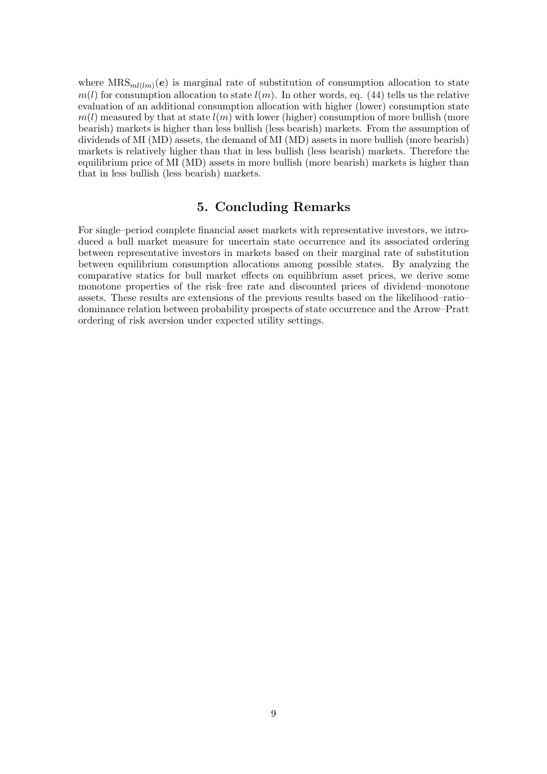where  $MRS_{ml(lm)}(e)$  is marginal rate of substitution of consumption allocation to state  $m(l)$  for consumption allocation to state  $l(m)$ . In other words, eq. (44) tells us the relative evaluation of an additional consumption allocation with higher (lower) consumption state  $m(l)$  measured by that at state  $l(m)$  with lower (higher) consumption of more bullish (more bearish) markets is higher than less bullish (less bearish) markets. From the assumption of dividends of MI (MD) assets, the demand of MI (MD) assets in more bullish (more bearish) markets is relatively higher than that in less bullish (less bearish) markets. Therefore the equilibrium price of MI (MD) assets in more bullish (more bearish) markets is higher than that in less bullish (less bearish) markets.

# 5. Concluding Remarks

For single–period complete financial asset markets with representative investors, we introduced a bull market measure for uncertain state occurrence and its associated ordering between representative investors in markets based on their marginal rate of substitution between equilibrium consumption allocations among possible states. By analyzing the comparative statics for bull market effects on equilibrium asset prices, we derive some monotone properties of the risk–free rate and discounted prices of dividend–monotone assets. These results are extensions of the previous results based on the likelihood–ratio– dominance relation between probability prospects of state occurrence and the Arrow–Pratt ordering of risk aversion under expected utility settings.